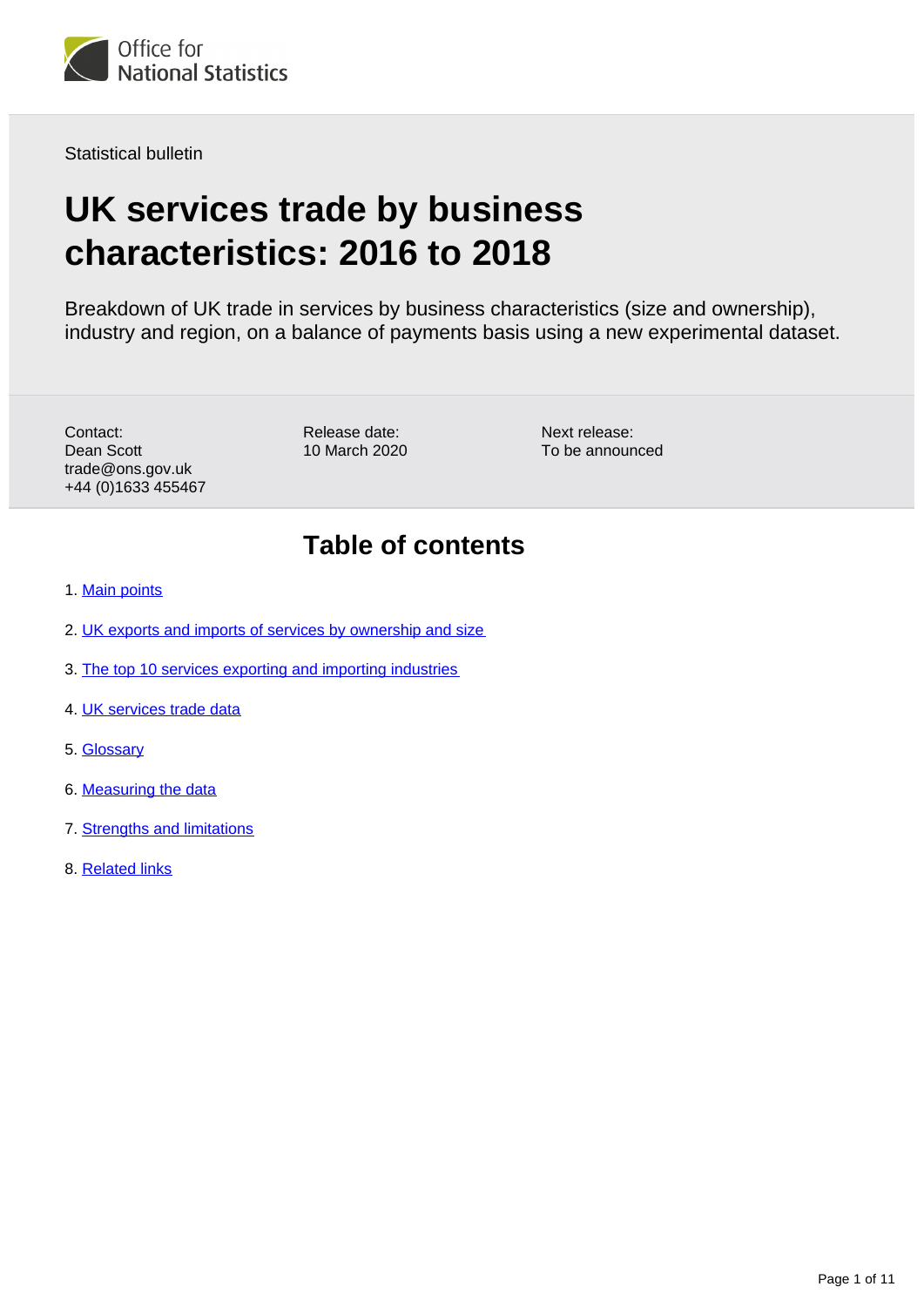

Statistical bulletin

# **UK services trade by business characteristics: 2016 to 2018**

Breakdown of UK trade in services by business characteristics (size and ownership), industry and region, on a balance of payments basis using a new experimental dataset.

Contact: Dean Scott trade@ons.gov.uk +44 (0)1633 455467 Release date: 10 March 2020 Next release: To be announced

## **Table of contents**

- 1. [Main points](#page-1-0)
- 2. [UK exports and imports of services by ownership and size](#page-1-1)
- 3. [The top 10 services exporting and importing industries](#page-4-0)
- 4. [UK services trade data](#page-6-0)
- 5. [Glossary](#page-6-1)
- 6. [Measuring the data](#page-7-0)
- 7. [Strengths and limitations](#page-9-0)
- 8. [Related links](#page-10-0)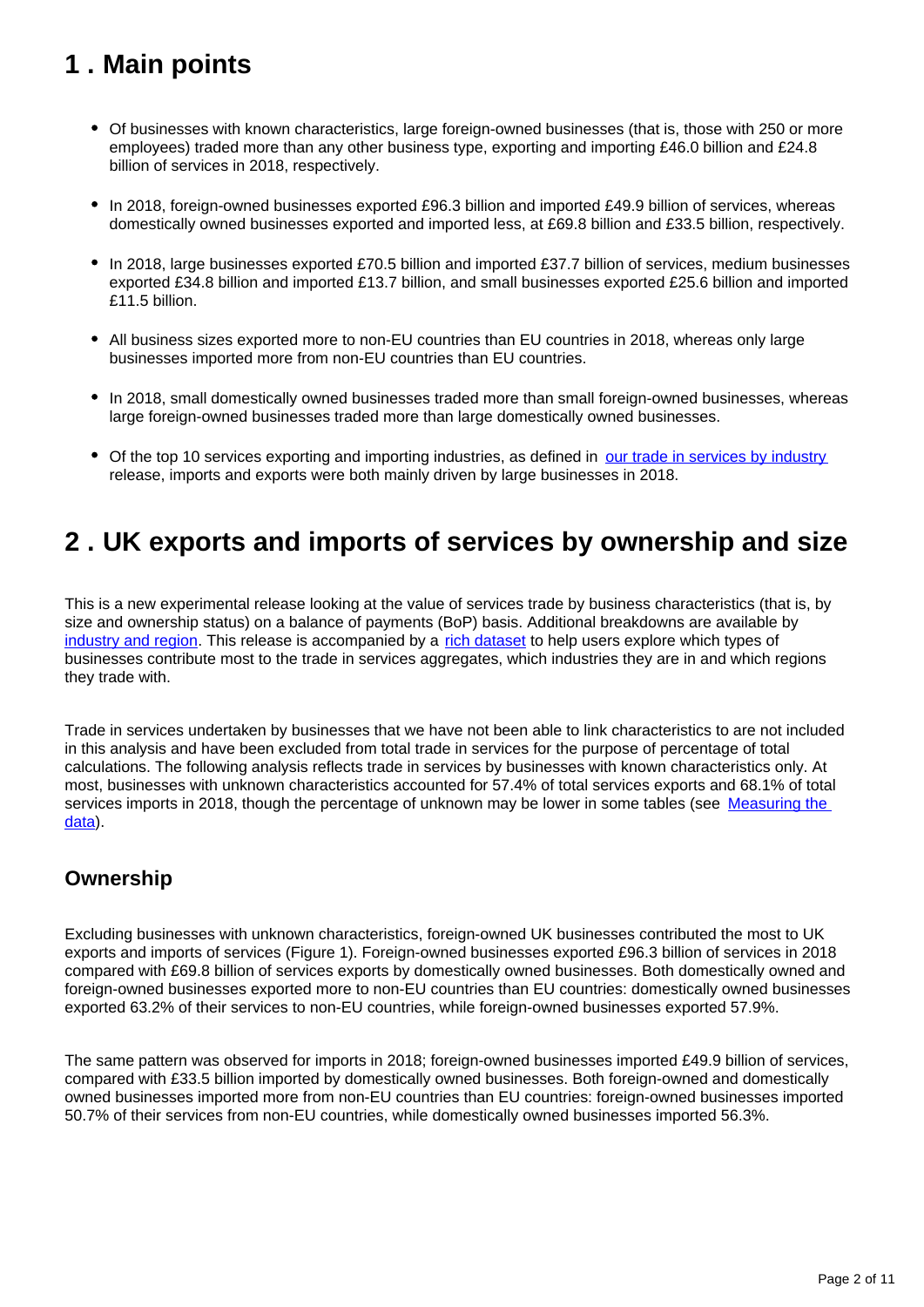## <span id="page-1-0"></span>**1 . Main points**

- Of businesses with known characteristics, large foreign-owned businesses (that is, those with 250 or more employees) traded more than any other business type, exporting and importing £46.0 billion and £24.8 billion of services in 2018, respectively.
- In 2018, foreign-owned businesses exported £96.3 billion and imported £49.9 billion of services, whereas domestically owned businesses exported and imported less, at £69.8 billion and £33.5 billion, respectively.
- In 2018, large businesses exported £70.5 billion and imported £37.7 billion of services, medium businesses exported £34.8 billion and imported £13.7 billion, and small businesses exported £25.6 billion and imported £11.5 billion.
- All business sizes exported more to non-EU countries than EU countries in 2018, whereas only large businesses imported more from non-EU countries than EU countries.
- In 2018, small domestically owned businesses traded more than small foreign-owned businesses, whereas large foreign-owned businesses traded more than large domestically owned businesses.
- Of the top 10 services exporting and importing industries, as defined in [our trade in services by industry](https://www.ons.gov.uk/economy/nationalaccounts/balanceofpayments/articles/uktradeinservicesbyindustrycountryandservicetype/2016to2018) release, imports and exports were both mainly driven by large businesses in 2018.

## <span id="page-1-1"></span>**2 . UK exports and imports of services by ownership and size**

This is a new experimental release looking at the value of services trade by business characteristics (that is, by size and ownership status) on a balance of payments (BoP) basis. Additional breakdowns are available by [industry and region.](https://www.ons.gov.uk/releases/uktradeinservicesbyindustrycountryandservicetype) This release is accompanied by a [rich dataset](https://www.ons.gov.uk/economy/nationalaccounts/balanceofpayments/datasets/uktradeinservicesbybusinesscharacteristics) to help users explore which types of businesses contribute most to the trade in services aggregates, which industries they are in and which regions they trade with.

Trade in services undertaken by businesses that we have not been able to link characteristics to are not included in this analysis and have been excluded from total trade in services for the purpose of percentage of total calculations. The following analysis reflects trade in services by businesses with known characteristics only. At most, businesses with unknown characteristics accounted for 57.4% of total services exports and 68.1% of total services imports in 2018, though the percentage of unknown may be lower in some tables (see Measuring the [data](https://www.ons.gov.uk/businessindustryandtrade/internationaltrade/bulletins/ukservicestradebybusinesscharacteristics/2016to2018#measuring-the-data)).

### **Ownership**

Excluding businesses with unknown characteristics, foreign-owned UK businesses contributed the most to UK exports and imports of services (Figure 1). Foreign-owned businesses exported £96.3 billion of services in 2018 compared with £69.8 billion of services exports by domestically owned businesses. Both domestically owned and foreign-owned businesses exported more to non-EU countries than EU countries: domestically owned businesses exported 63.2% of their services to non-EU countries, while foreign-owned businesses exported 57.9%.

The same pattern was observed for imports in 2018; foreign-owned businesses imported £49.9 billion of services, compared with £33.5 billion imported by domestically owned businesses. Both foreign-owned and domestically owned businesses imported more from non-EU countries than EU countries: foreign-owned businesses imported 50.7% of their services from non-EU countries, while domestically owned businesses imported 56.3%.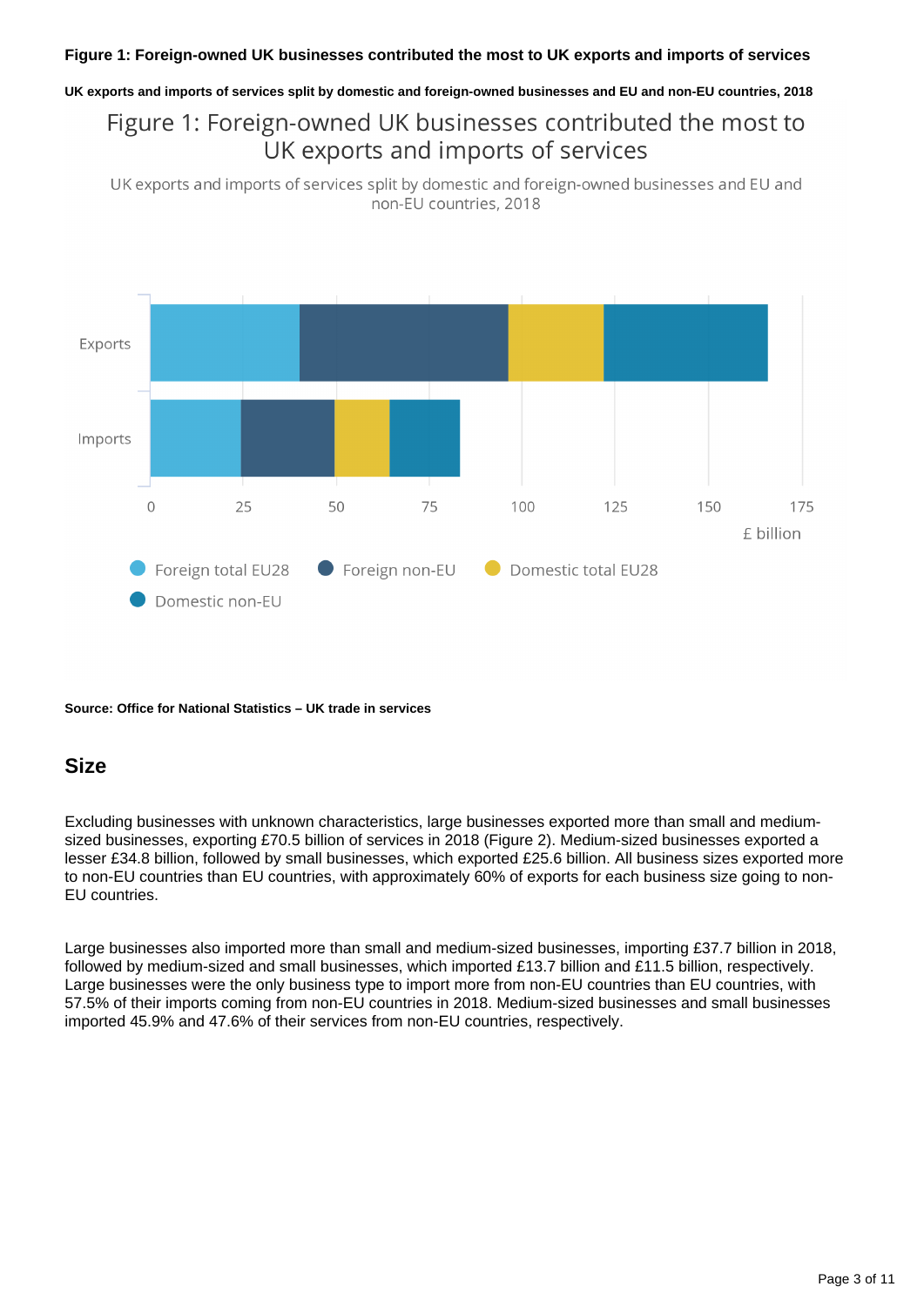**UK exports and imports of services split by domestic and foreign-owned businesses and EU and non-EU countries, 2018**

### Figure 1: Foreign-owned UK businesses contributed the most to UK exports and imports of services

UK exports and imports of services split by domestic and foreign-owned businesses and EU and non-EU countries, 2018



#### **Source: Office for National Statistics – UK trade in services**

#### **Size**

Excluding businesses with unknown characteristics, large businesses exported more than small and mediumsized businesses, exporting £70.5 billion of services in 2018 (Figure 2). Medium-sized businesses exported a lesser £34.8 billion, followed by small businesses, which exported £25.6 billion. All business sizes exported more to non-EU countries than EU countries, with approximately 60% of exports for each business size going to non-EU countries.

Large businesses also imported more than small and medium-sized businesses, importing £37.7 billion in 2018, followed by medium-sized and small businesses, which imported £13.7 billion and £11.5 billion, respectively. Large businesses were the only business type to import more from non-EU countries than EU countries, with 57.5% of their imports coming from non-EU countries in 2018. Medium-sized businesses and small businesses imported 45.9% and 47.6% of their services from non-EU countries, respectively.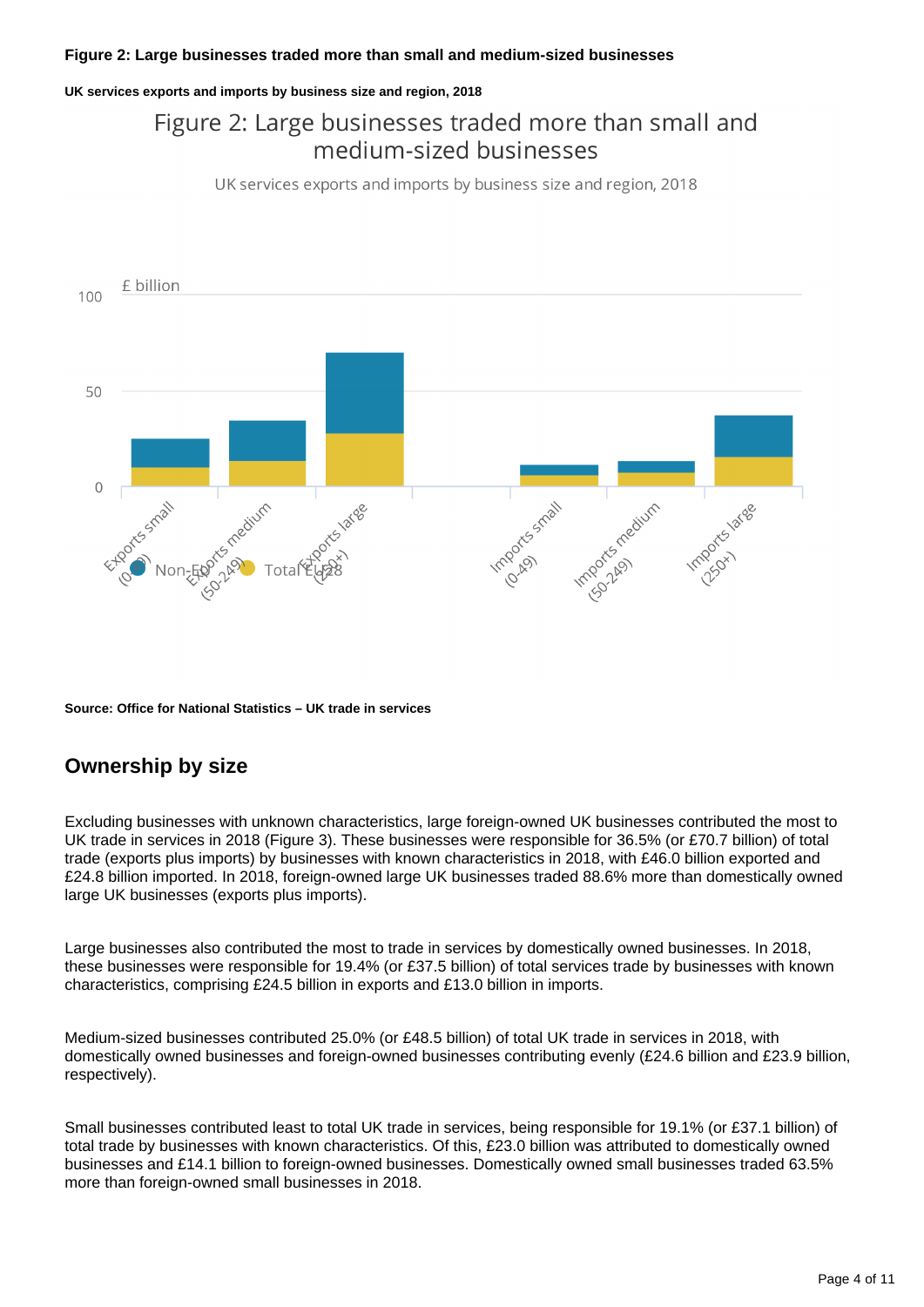#### **UK services exports and imports by business size and region, 2018**

### Figure 2: Large businesses traded more than small and medium-sized businesses

UK services exports and imports by business size and region, 2018



**Source: Office for National Statistics – UK trade in services**

### **Ownership by size**

Excluding businesses with unknown characteristics, large foreign-owned UK businesses contributed the most to UK trade in services in 2018 (Figure 3). These businesses were responsible for 36.5% (or £70.7 billion) of total trade (exports plus imports) by businesses with known characteristics in 2018, with £46.0 billion exported and £24.8 billion imported. In 2018, foreign-owned large UK businesses traded 88.6% more than domestically owned large UK businesses (exports plus imports).

Large businesses also contributed the most to trade in services by domestically owned businesses. In 2018, these businesses were responsible for 19.4% (or £37.5 billion) of total services trade by businesses with known characteristics, comprising £24.5 billion in exports and £13.0 billion in imports.

Medium-sized businesses contributed 25.0% (or £48.5 billion) of total UK trade in services in 2018, with domestically owned businesses and foreign-owned businesses contributing evenly (£24.6 billion and £23.9 billion, respectively).

Small businesses contributed least to total UK trade in services, being responsible for 19.1% (or £37.1 billion) of total trade by businesses with known characteristics. Of this, £23.0 billion was attributed to domestically owned businesses and £14.1 billion to foreign-owned businesses. Domestically owned small businesses traded 63.5% more than foreign-owned small businesses in 2018.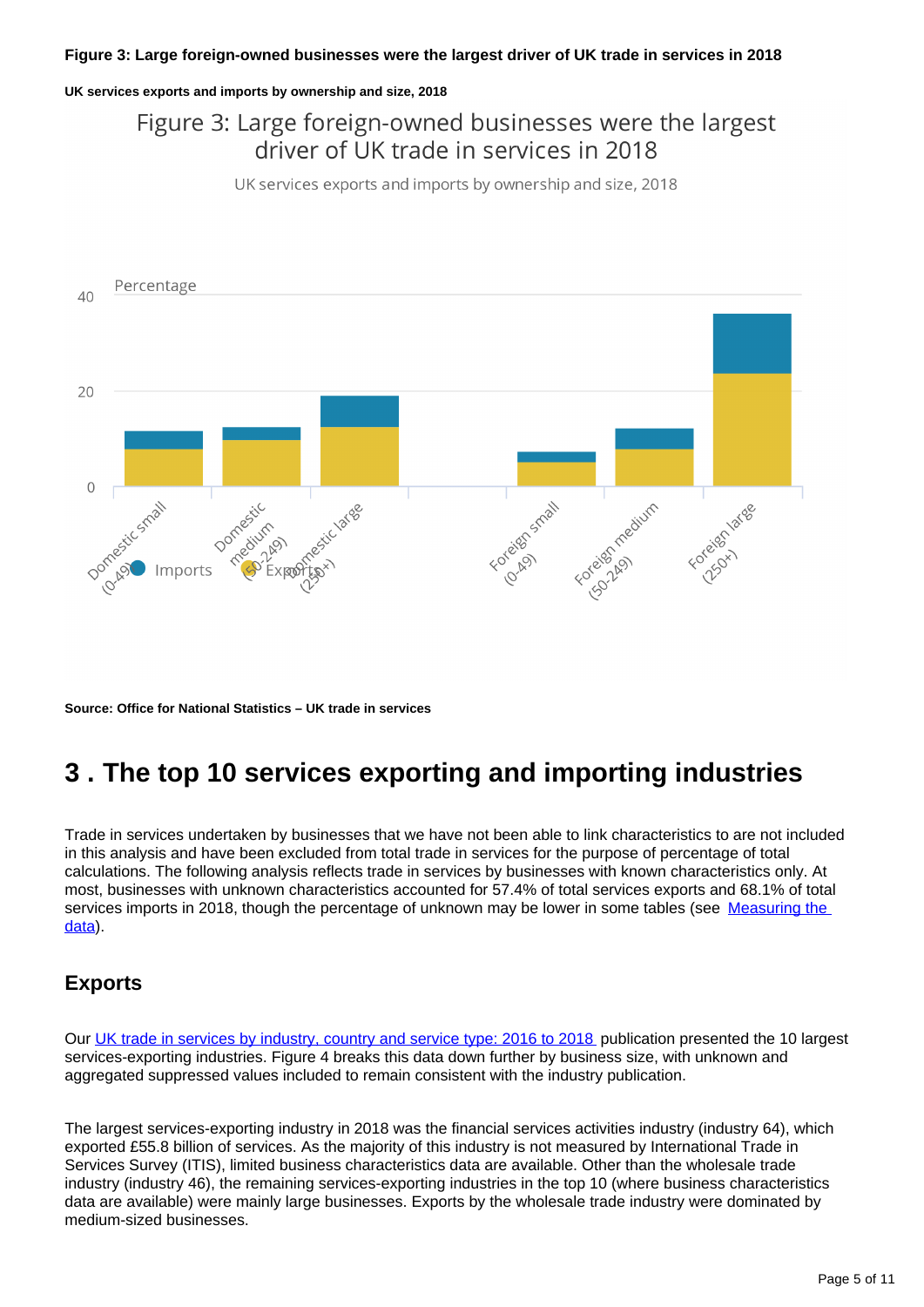#### **UK services exports and imports by ownership and size, 2018**

### Figure 3: Large foreign-owned businesses were the largest driver of UK trade in services in 2018

UK services exports and imports by ownership and size, 2018



**Source: Office for National Statistics – UK trade in services**

## <span id="page-4-0"></span>**3 . The top 10 services exporting and importing industries**

Trade in services undertaken by businesses that we have not been able to link characteristics to are not included in this analysis and have been excluded from total trade in services for the purpose of percentage of total calculations. The following analysis reflects trade in services by businesses with known characteristics only. At most, businesses with unknown characteristics accounted for 57.4% of total services exports and 68.1% of total services imports in 2018, though the percentage of unknown may be lower in some tables (see Measuring the [data](https://www.ons.gov.uk/businessindustryandtrade/internationaltrade/bulletins/ukservicestradebybusinesscharacteristics/2016to2018#measuring-the-data)).

#### **Exports**

Our [UK trade in services by industry, country and service type: 2016 to 2018](https://www.ons.gov.uk/economy/nationalaccounts/balanceofpayments/articles/uktradeinservicesbyindustrycountryandservicetype/2016to2018) publication presented the 10 largest services-exporting industries. Figure 4 breaks this data down further by business size, with unknown and aggregated suppressed values included to remain consistent with the industry publication.

The largest services-exporting industry in 2018 was the financial services activities industry (industry 64), which exported £55.8 billion of services. As the majority of this industry is not measured by International Trade in Services Survey (ITIS), limited business characteristics data are available. Other than the wholesale trade industry (industry 46), the remaining services-exporting industries in the top 10 (where business characteristics data are available) were mainly large businesses. Exports by the wholesale trade industry were dominated by medium-sized businesses.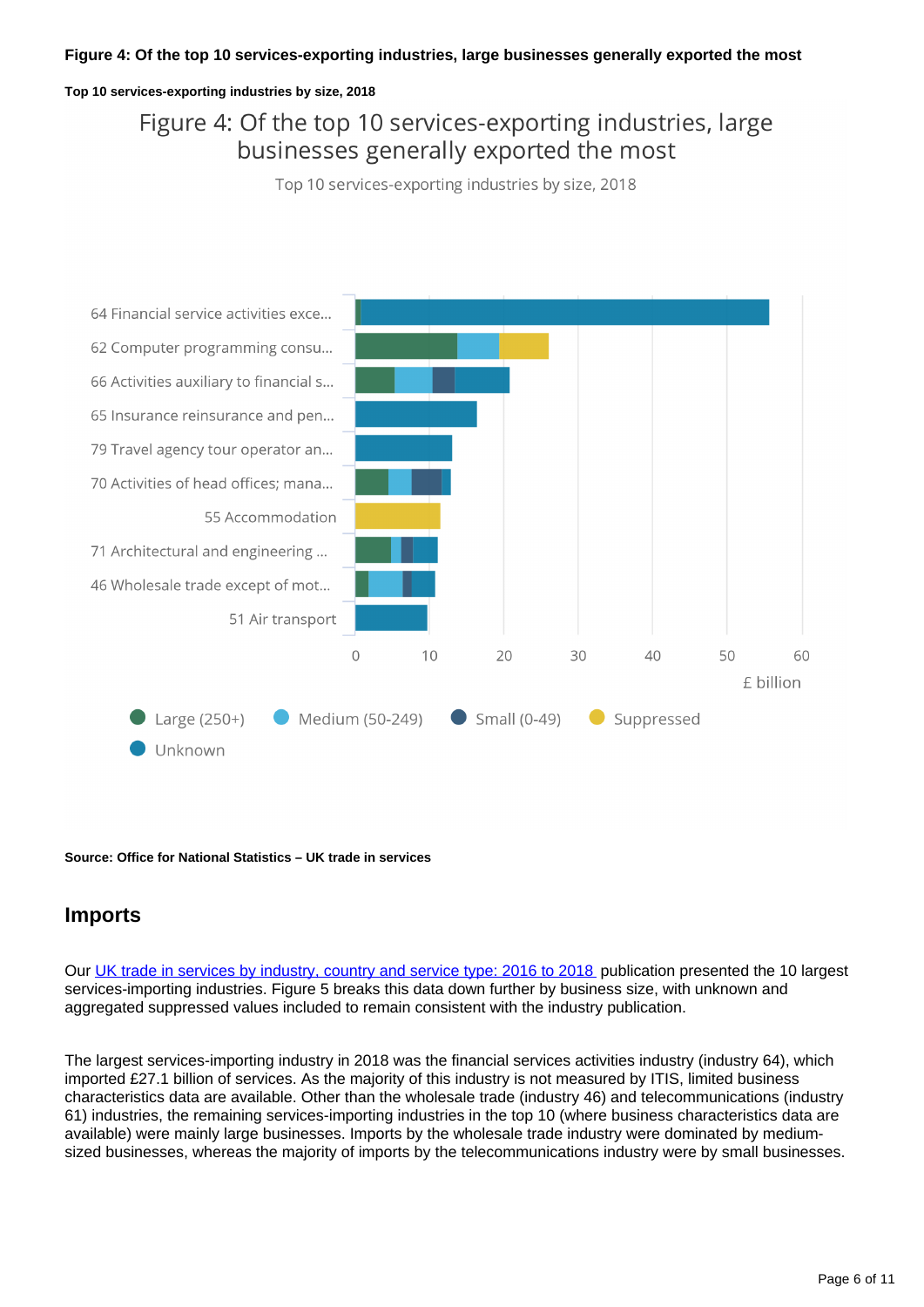#### **Figure 4: Of the top 10 services-exporting industries, large businesses generally exported the most**

#### **Top 10 services-exporting industries by size, 2018**

### Figure 4: Of the top 10 services-exporting industries, large businesses generally exported the most

Top 10 services-exporting industries by size, 2018



**Source: Office for National Statistics – UK trade in services**

### **Imports**

Our [UK trade in services by industry, country and service type: 2016 to 2018](https://www.ons.gov.uk/economy/nationalaccounts/balanceofpayments/articles/uktradeinservicesbyindustrycountryandservicetype/2016to2018) publication presented the 10 largest services-importing industries. Figure 5 breaks this data down further by business size, with unknown and aggregated suppressed values included to remain consistent with the industry publication.

The largest services-importing industry in 2018 was the financial services activities industry (industry 64), which imported £27.1 billion of services. As the majority of this industry is not measured by ITIS, limited business characteristics data are available. Other than the wholesale trade (industry 46) and telecommunications (industry 61) industries, the remaining services-importing industries in the top 10 (where business characteristics data are available) were mainly large businesses. Imports by the wholesale trade industry were dominated by mediumsized businesses, whereas the majority of imports by the telecommunications industry were by small businesses.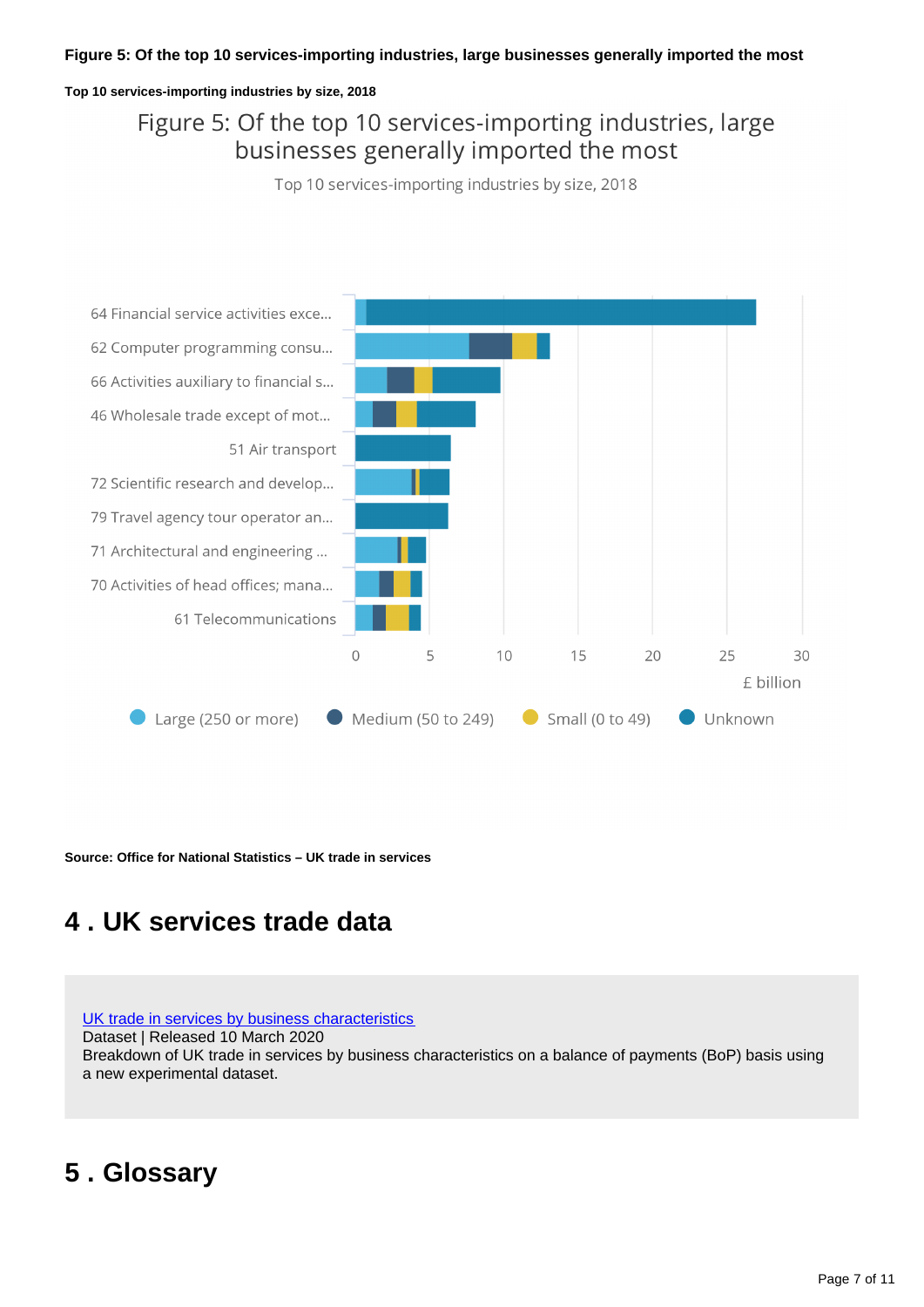#### **Figure 5: Of the top 10 services-importing industries, large businesses generally imported the most**

#### **Top 10 services-importing industries by size, 2018**

### Figure 5: Of the top 10 services-importing industries, large businesses generally imported the most

Top 10 services-importing industries by size, 2018



**Source: Office for National Statistics – UK trade in services**

## <span id="page-6-0"></span>**4 . UK services trade data**

#### [UK trade in services by business characteristics](https://www.ons.gov.uk/economy/nationalaccounts/balanceofpayments/datasets/uktradeinservicesbybusinesscharacteristics) Dataset | Released 10 March 2020 Breakdown of UK trade in services by business characteristics on a balance of payments (BoP) basis using a new experimental dataset.

## <span id="page-6-1"></span>**5 . Glossary**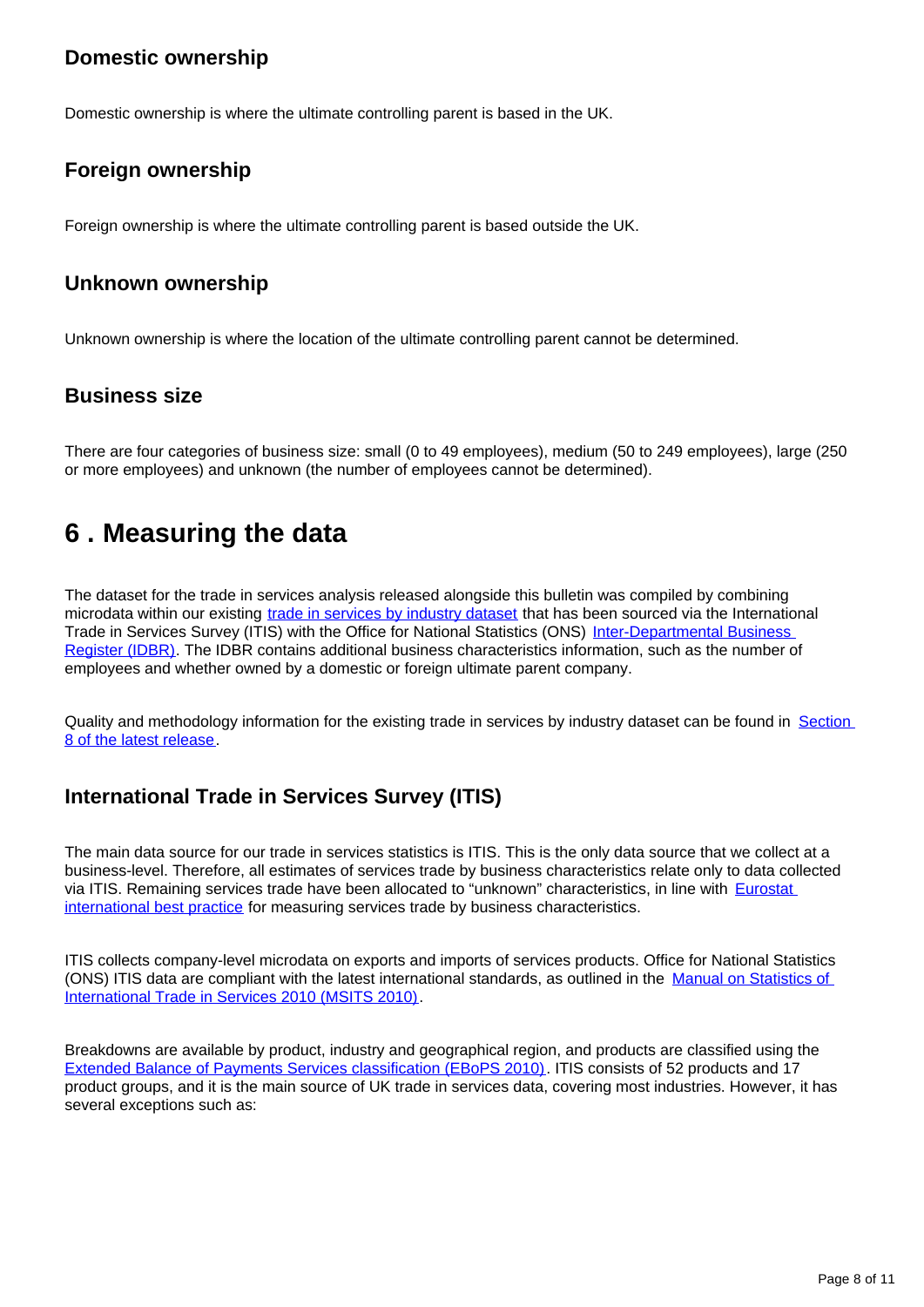### **Domestic ownership**

Domestic ownership is where the ultimate controlling parent is based in the UK.

### **Foreign ownership**

Foreign ownership is where the ultimate controlling parent is based outside the UK.

#### **Unknown ownership**

Unknown ownership is where the location of the ultimate controlling parent cannot be determined.

### **Business size**

There are four categories of business size: small (0 to 49 employees), medium (50 to 249 employees), large (250 or more employees) and unknown (the number of employees cannot be determined).

## <span id="page-7-0"></span>**6 . Measuring the data**

The dataset for the trade in services analysis released alongside this bulletin was compiled by combining microdata within our existing [trade in services by industry dataset](https://www.ons.gov.uk/economy/nationalaccounts/balanceofpayments/articles/uktradeinservicesbyindustrycountryandservicetype/2016to2018) that has been sourced via the International Trade in Services Survey (ITIS) with the Office for National Statistics (ONS) [Inter-Departmental Business](https://www.ons.gov.uk/aboutus/whatwedo/paidservices/interdepartmentalbusinessregisteridbr)  [Register \(IDBR\)](https://www.ons.gov.uk/aboutus/whatwedo/paidservices/interdepartmentalbusinessregisteridbr). The IDBR contains additional business characteristics information, such as the number of employees and whether owned by a domestic or foreign ultimate parent company.

Quality and methodology information for the existing trade in services by industry dataset can be found in Section [8 of the latest release.](https://www.ons.gov.uk/economy/nationalaccounts/balanceofpayments/articles/uktradeinservicesbyindustrycountryandservicetype/2016to2018#measuring-the-data)

### **International Trade in Services Survey (ITIS)**

The main data source for our trade in services statistics is ITIS. This is the only data source that we collect at a business-level. Therefore, all estimates of services trade by business characteristics relate only to data collected via ITIS. Remaining services trade have been allocated to "unknown" characteristics, in line with **Eurostat** [international best practice](https://ec.europa.eu/eurostat/documents/3859598/8466641/KS-GQ-16-007-EN-N.pdf/f24fbd9e-4aeb-465d-af03-4dd169600ebd) for measuring services trade by business characteristics.

ITIS collects company-level microdata on exports and imports of services products. Office for National Statistics (ONS) ITIS data are compliant with the latest international standards, as outlined in the [Manual on Statistics of](https://unstats.un.org/unsd/publication/Seriesm/seriesM_86Rev1e.pdf)  [International Trade in Services 2010 \(MSITS 2010\)](https://unstats.un.org/unsd/publication/Seriesm/seriesM_86Rev1e.pdf).

Breakdowns are available by product, industry and geographical region, and products are classified using the [Extended Balance of Payments Services classification \(EBoPS 2010\)](http://www.oecd.org/sdd/its/EBOPS-2010.pdf). ITIS consists of 52 products and 17 product groups, and it is the main source of UK trade in services data, covering most industries. However, it has several exceptions such as: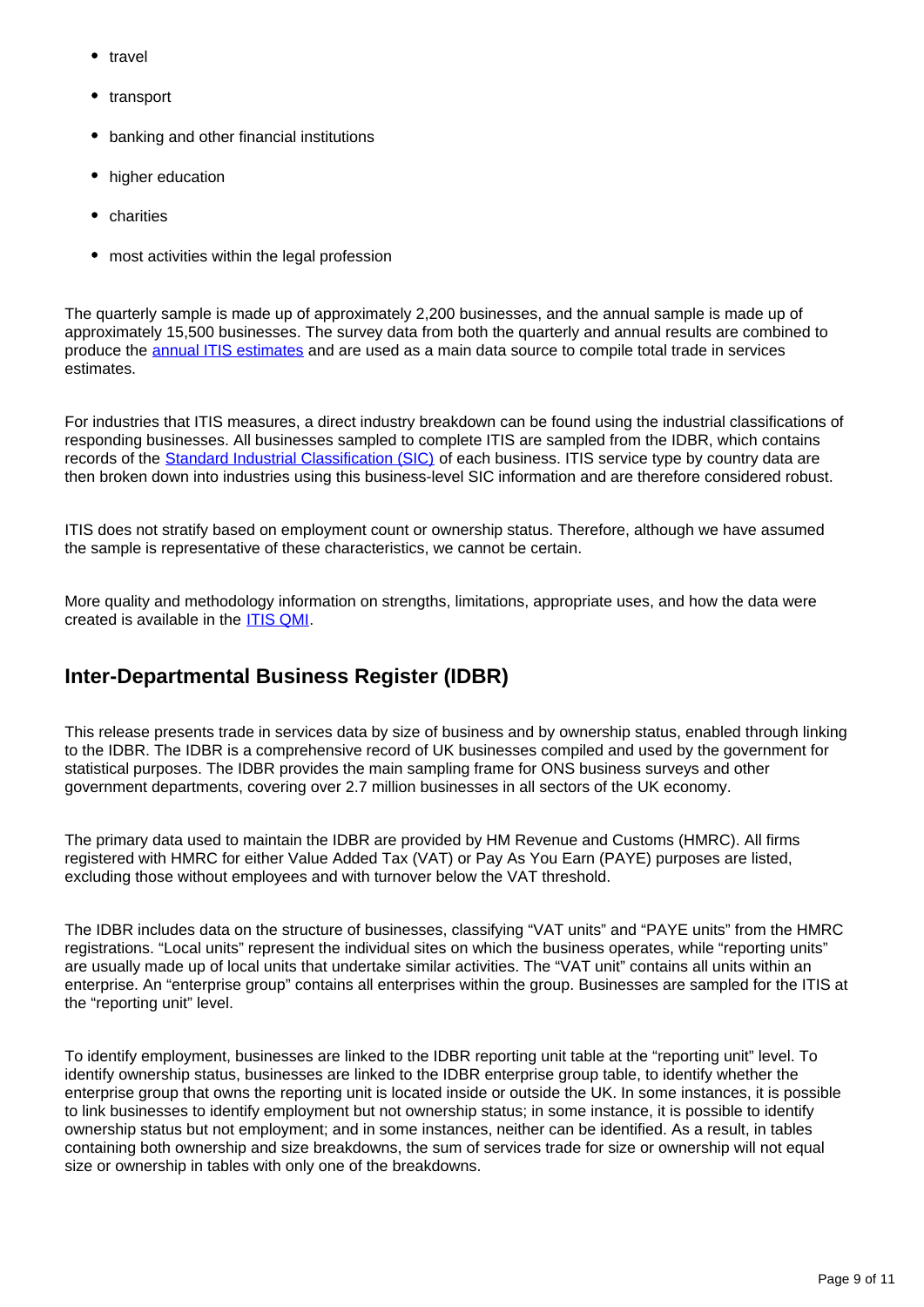- travel
- transport
- banking and other financial institutions
- higher education
- charities
- most activities within the legal profession

The quarterly sample is made up of approximately 2,200 businesses, and the annual sample is made up of approximately 15,500 businesses. The survey data from both the quarterly and annual results are combined to produce the [annual ITIS estimates](https://www.ons.gov.uk/businessindustryandtrade/internationaltrade/bulletins/internationaltradeinservices/previousReleases) and are used as a main data source to compile total trade in services .<br>estimates

For industries that ITIS measures, a direct industry breakdown can be found using the industrial classifications of responding businesses. All businesses sampled to complete ITIS are sampled from the IDBR, which contains records of the [Standard Industrial Classification \(SIC\)](https://www.ons.gov.uk/methodology/classificationsandstandards/ukstandardindustrialclassificationofeconomicactivities/uksic2007) of each business. ITIS service type by country data are then broken down into industries using this business-level SIC information and are therefore considered robust.

ITIS does not stratify based on employment count or ownership status. Therefore, although we have assumed the sample is representative of these characteristics, we cannot be certain.

More quality and methodology information on strengths, limitations, appropriate uses, and how the data were created is available in the [ITIS QMI](https://www.ons.gov.uk/businessindustryandtrade/internationaltrade/qmis/internationaltradeinservicesqmi).

### **Inter-Departmental Business Register (IDBR)**

This release presents trade in services data by size of business and by ownership status, enabled through linking to the IDBR. The IDBR is a comprehensive record of UK businesses compiled and used by the government for statistical purposes. The IDBR provides the main sampling frame for ONS business surveys and other government departments, covering over 2.7 million businesses in all sectors of the UK economy.

The primary data used to maintain the IDBR are provided by HM Revenue and Customs (HMRC). All firms registered with HMRC for either Value Added Tax (VAT) or Pay As You Earn (PAYE) purposes are listed, excluding those without employees and with turnover below the VAT threshold.

The IDBR includes data on the structure of businesses, classifying "VAT units" and "PAYE units" from the HMRC registrations. "Local units" represent the individual sites on which the business operates, while "reporting units" are usually made up of local units that undertake similar activities. The "VAT unit" contains all units within an enterprise. An "enterprise group" contains all enterprises within the group. Businesses are sampled for the ITIS at the "reporting unit" level.

To identify employment, businesses are linked to the IDBR reporting unit table at the "reporting unit" level. To identify ownership status, businesses are linked to the IDBR enterprise group table, to identify whether the enterprise group that owns the reporting unit is located inside or outside the UK. In some instances, it is possible to link businesses to identify employment but not ownership status; in some instance, it is possible to identify ownership status but not employment; and in some instances, neither can be identified. As a result, in tables containing both ownership and size breakdowns, the sum of services trade for size or ownership will not equal size or ownership in tables with only one of the breakdowns.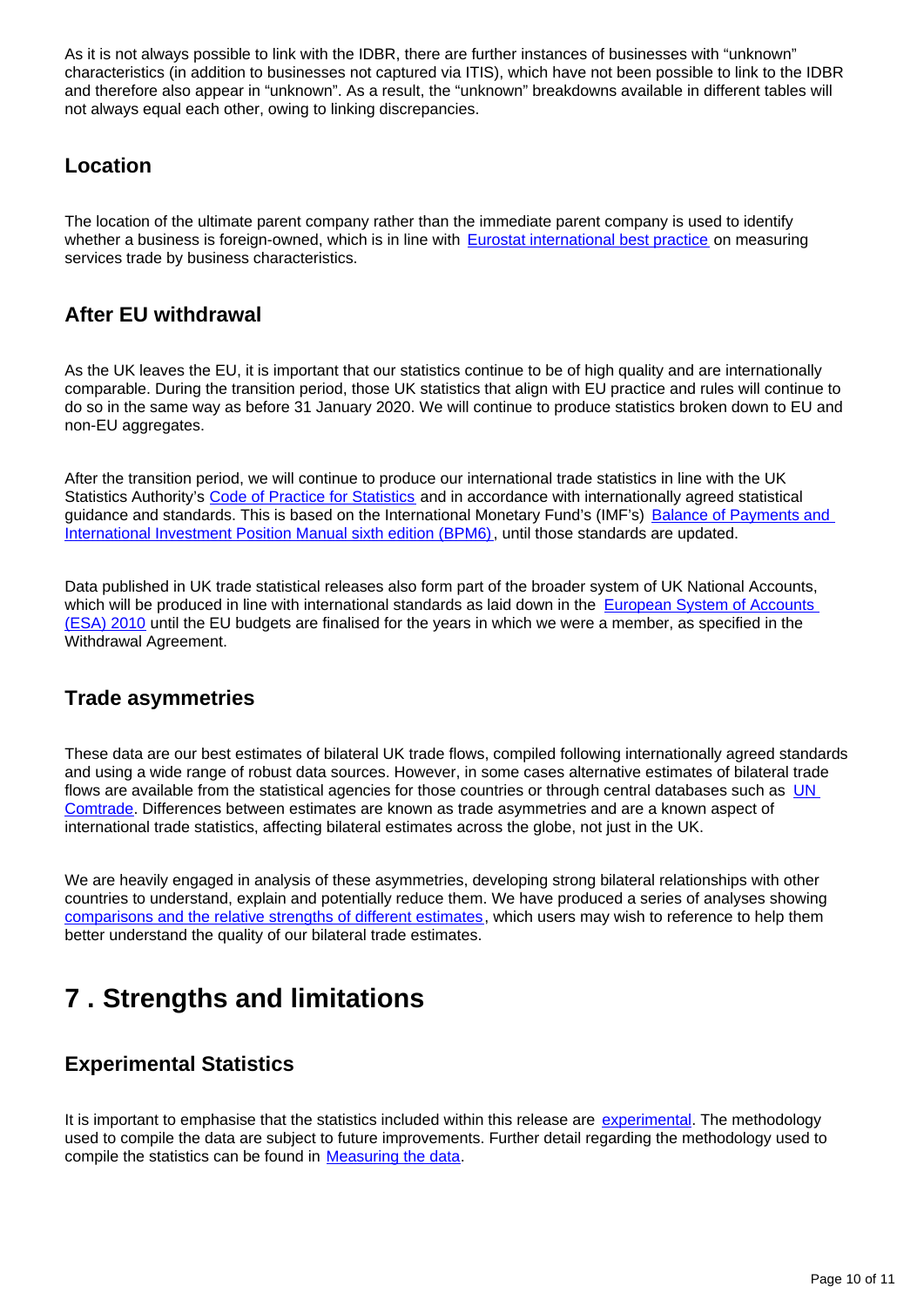As it is not always possible to link with the IDBR, there are further instances of businesses with "unknown" characteristics (in addition to businesses not captured via ITIS), which have not been possible to link to the IDBR and therefore also appear in "unknown". As a result, the "unknown" breakdowns available in different tables will not always equal each other, owing to linking discrepancies.

#### **Location**

The location of the ultimate parent company rather than the immediate parent company is used to identify whether a business is foreign-owned, which is in line with [Eurostat international best practice](https://ec.europa.eu/eurostat/documents/3859598/8466641/KS-GQ-16-007-EN-N.pdf/f24fbd9e-4aeb-465d-af03-4dd169600ebd) on measuring services trade by business characteristics.

### **After EU withdrawal**

As the UK leaves the EU, it is important that our statistics continue to be of high quality and are internationally comparable. During the transition period, those UK statistics that align with EU practice and rules will continue to do so in the same way as before 31 January 2020. We will continue to produce statistics broken down to EU and non-EU aggregates.

After the transition period, we will continue to produce our international trade statistics in line with the UK Statistics Authority's [Code of Practice for Statistics](https://www.statisticsauthority.gov.uk/code-of-practice/) and in accordance with internationally agreed statistical guidance and standards. This is based on the International Monetary Fund's (IMF's) Balance of Payments and [International Investment Position Manual sixth edition \(BPM6\)](https://www.imf.org/external/pubs/ft/bop/2007/bopman6.htm), until those standards are updated.

Data published in UK trade statistical releases also form part of the broader system of UK National Accounts, which will be produced in line with international standards as laid down in the European System of Accounts [\(ESA\) 2010](https://ec.europa.eu/eurostat/web/products-manuals-and-guidelines/-/KS-02-13-269) until the EU budgets are finalised for the years in which we were a member, as specified in the Withdrawal Agreement.

### **Trade asymmetries**

These data are our best estimates of bilateral UK trade flows, compiled following internationally agreed standards and using a wide range of robust data sources. However, in some cases alternative estimates of bilateral trade flows are available from the statistical agencies for those countries or through central databases such as UN [Comtrade](https://comtrade.un.org/). Differences between estimates are known as trade asymmetries and are a known aspect of international trade statistics, affecting bilateral estimates across the globe, not just in the UK.

We are heavily engaged in analysis of these asymmetries, developing strong bilateral relationships with other countries to understand, explain and potentially reduce them. We have produced a series of analyses showing [comparisons and the relative strengths of different estimates](https://www.ons.gov.uk/economy/nationalaccounts/balanceofpayments/articles/asymmetriesintradedatadivingdeeperintoukbilateraltradedata/updatinganalysisofukbilateraltradedata), which users may wish to reference to help them better understand the quality of our bilateral trade estimates.

## <span id="page-9-0"></span>**7 . Strengths and limitations**

### **Experimental Statistics**

It is important to emphasise that the statistics included within this release are [experimental.](https://www.ons.gov.uk/methodology/methodologytopicsandstatisticalconcepts/guidetoexperimentalstatistics) The methodology used to compile the data are subject to future improvements. Further detail regarding the methodology used to compile the statistics can be found in [Measuring the data.](https://www.ons.gov.uk/businessindustryandtrade/internationaltrade/bulletins/ukservicestradebybusinesscharacteristics/2016to2018#measuring-the-data)